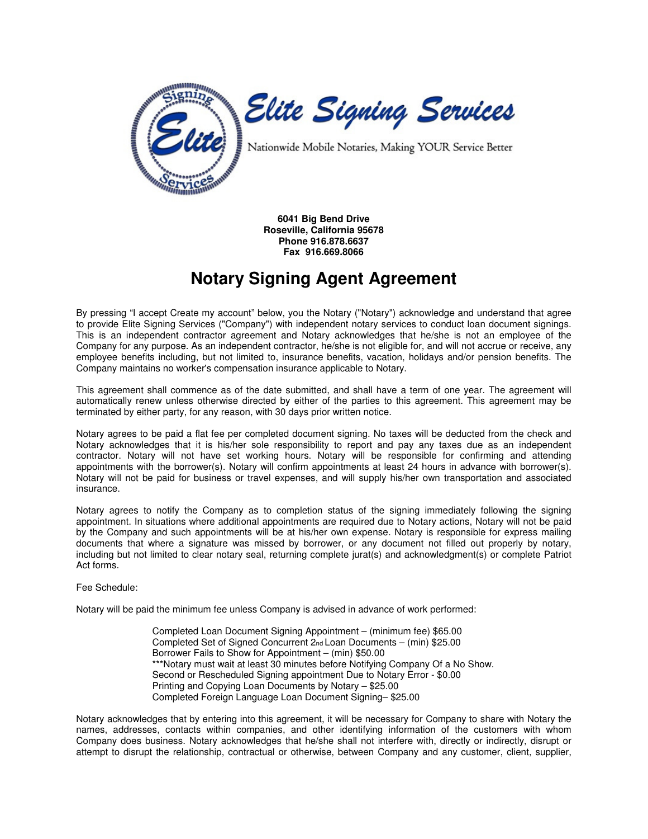

**6041 Big Bend Drive Roseville, California 95678 Phone 916.878.6637 Fax 916.669.8066** 

## **Notary Signing Agent Agreement**

By pressing "I accept Create my account" below, you the Notary ("Notary") acknowledge and understand that agree to provide Elite Signing Services ("Company") with independent notary services to conduct loan document signings. This is an independent contractor agreement and Notary acknowledges that he/she is not an employee of the Company for any purpose. As an independent contractor, he/she is not eligible for, and will not accrue or receive, any employee benefits including, but not limited to, insurance benefits, vacation, holidays and/or pension benefits. The Company maintains no worker's compensation insurance applicable to Notary.

This agreement shall commence as of the date submitted, and shall have a term of one year. The agreement will automatically renew unless otherwise directed by either of the parties to this agreement. This agreement may be terminated by either party, for any reason, with 30 days prior written notice.

Notary agrees to be paid a flat fee per completed document signing. No taxes will be deducted from the check and Notary acknowledges that it is his/her sole responsibility to report and pay any taxes due as an independent contractor. Notary will not have set working hours. Notary will be responsible for confirming and attending appointments with the borrower(s). Notary will confirm appointments at least 24 hours in advance with borrower(s). Notary will not be paid for business or travel expenses, and will supply his/her own transportation and associated insurance.

Notary agrees to notify the Company as to completion status of the signing immediately following the signing appointment. In situations where additional appointments are required due to Notary actions, Notary will not be paid by the Company and such appointments will be at his/her own expense. Notary is responsible for express mailing documents that where a signature was missed by borrower, or any document not filled out properly by notary, including but not limited to clear notary seal, returning complete jurat(s) and acknowledgment(s) or complete Patriot Act forms.

Fee Schedule:

Notary will be paid the minimum fee unless Company is advised in advance of work performed:

Completed Loan Document Signing Appointment – (minimum fee) \$65.00 Completed Set of Signed Concurrent 2nd Loan Documents – (min) \$25.00 Borrower Fails to Show for Appointment – (min) \$50.00 \*\*\*Notary must wait at least 30 minutes before Notifying Company Of a No Show. Second or Rescheduled Signing appointment Due to Notary Error - \$0.00 Printing and Copying Loan Documents by Notary – \$25.00 Completed Foreign Language Loan Document Signing– \$25.00

Notary acknowledges that by entering into this agreement, it will be necessary for Company to share with Notary the names, addresses, contacts within companies, and other identifying information of the customers with whom Company does business. Notary acknowledges that he/she shall not interfere with, directly or indirectly, disrupt or attempt to disrupt the relationship, contractual or otherwise, between Company and any customer, client, supplier,